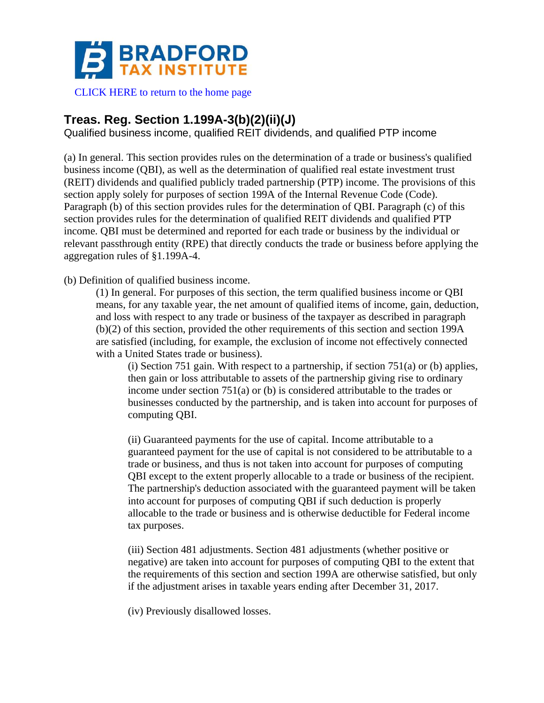

[CLICK HERE to return to the home page](https://www.bradfordtaxinstitute.com)

# **Treas. Reg. Section 1.199A-3(b)(2)(ii)(J)**

Qualified business income, qualified REIT dividends, and qualified PTP income

(a) In general. This section provides rules on the determination of a trade or business's qualified business income (QBI), as well as the determination of qualified real estate investment trust (REIT) dividends and qualified publicly traded partnership (PTP) income. The provisions of this section apply solely for purposes of section 199A of the Internal Revenue Code (Code). Paragraph (b) of this section provides rules for the determination of QBI. Paragraph (c) of this section provides rules for the determination of qualified REIT dividends and qualified PTP income. QBI must be determined and reported for each trade or business by the individual or relevant passthrough entity (RPE) that directly conducts the trade or business before applying the aggregation rules of §1.199A-4.

(b) Definition of qualified business income.

(1) In general. For purposes of this section, the term qualified business income or QBI means, for any taxable year, the net amount of qualified items of income, gain, deduction, and loss with respect to any trade or business of the taxpayer as described in paragraph (b)(2) of this section, provided the other requirements of this section and section 199A are satisfied (including, for example, the exclusion of income not effectively connected with a United States trade or business).

(i) Section 751 gain. With respect to a partnership, if section  $751(a)$  or (b) applies, then gain or loss attributable to assets of the partnership giving rise to ordinary income under section 751(a) or (b) is considered attributable to the trades or businesses conducted by the partnership, and is taken into account for purposes of computing QBI.

(ii) Guaranteed payments for the use of capital. Income attributable to a guaranteed payment for the use of capital is not considered to be attributable to a trade or business, and thus is not taken into account for purposes of computing QBI except to the extent properly allocable to a trade or business of the recipient. The partnership's deduction associated with the guaranteed payment will be taken into account for purposes of computing QBI if such deduction is properly allocable to the trade or business and is otherwise deductible for Federal income tax purposes.

(iii) Section 481 adjustments. Section 481 adjustments (whether positive or negative) are taken into account for purposes of computing QBI to the extent that the requirements of this section and section 199A are otherwise satisfied, but only if the adjustment arises in taxable years ending after December 31, 2017.

(iv) Previously disallowed losses.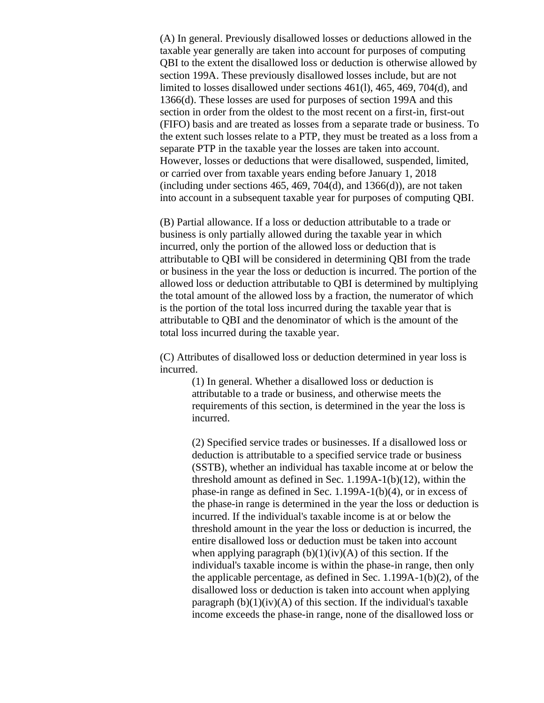(A) In general. Previously disallowed losses or deductions allowed in the taxable year generally are taken into account for purposes of computing QBI to the extent the disallowed loss or deduction is otherwise allowed by section 199A. These previously disallowed losses include, but are not limited to losses disallowed under sections 461(l), 465, 469, 704(d), and 1366(d). These losses are used for purposes of section 199A and this section in order from the oldest to the most recent on a first-in, first-out (FIFO) basis and are treated as losses from a separate trade or business. To the extent such losses relate to a PTP, they must be treated as a loss from a separate PTP in the taxable year the losses are taken into account. However, losses or deductions that were disallowed, suspended, limited, or carried over from taxable years ending before January 1, 2018 (including under sections  $465, 469, 704(d)$ , and  $1366(d)$ ), are not taken into account in a subsequent taxable year for purposes of computing QBI.

(B) Partial allowance. If a loss or deduction attributable to a trade or business is only partially allowed during the taxable year in which incurred, only the portion of the allowed loss or deduction that is attributable to QBI will be considered in determining QBI from the trade or business in the year the loss or deduction is incurred. The portion of the allowed loss or deduction attributable to QBI is determined by multiplying the total amount of the allowed loss by a fraction, the numerator of which is the portion of the total loss incurred during the taxable year that is attributable to QBI and the denominator of which is the amount of the total loss incurred during the taxable year.

(C) Attributes of disallowed loss or deduction determined in year loss is incurred.

> (1) In general. Whether a disallowed loss or deduction is attributable to a trade or business, and otherwise meets the requirements of this section, is determined in the year the loss is incurred.

(2) Specified service trades or businesses. If a disallowed loss or deduction is attributable to a specified service trade or business (SSTB), whether an individual has taxable income at or below the threshold amount as defined in Sec. 1.199A-1(b)(12), within the phase-in range as defined in Sec. 1.199A-1(b)(4), or in excess of the phase-in range is determined in the year the loss or deduction is incurred. If the individual's taxable income is at or below the threshold amount in the year the loss or deduction is incurred, the entire disallowed loss or deduction must be taken into account when applying paragraph  $(b)(1)(iv)(A)$  of this section. If the individual's taxable income is within the phase-in range, then only the applicable percentage, as defined in Sec. 1.199A-1(b)(2), of the disallowed loss or deduction is taken into account when applying paragraph  $(b)(1)(iv)(A)$  of this section. If the individual's taxable income exceeds the phase-in range, none of the disallowed loss or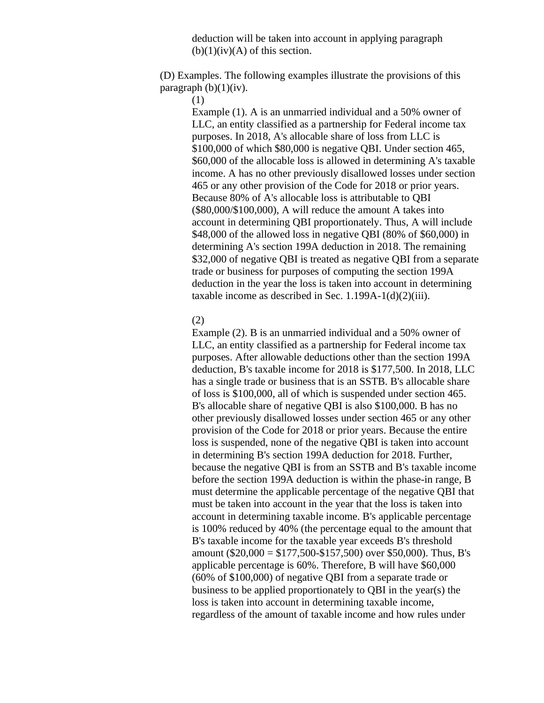deduction will be taken into account in applying paragraph  $(b)(1)(iv)(A)$  of this section.

(D) Examples. The following examples illustrate the provisions of this paragraph  $(b)(1)(iv)$ .

(1)

Example (1). A is an unmarried individual and a 50% owner of LLC, an entity classified as a partnership for Federal income tax purposes. In 2018, A's allocable share of loss from LLC is \$100,000 of which \$80,000 is negative QBI. Under section 465, \$60,000 of the allocable loss is allowed in determining A's taxable income. A has no other previously disallowed losses under section 465 or any other provision of the Code for 2018 or prior years. Because 80% of A's allocable loss is attributable to QBI (\$80,000/\$100,000), A will reduce the amount A takes into account in determining QBI proportionately. Thus, A will include \$48,000 of the allowed loss in negative QBI (80% of \$60,000) in determining A's section 199A deduction in 2018. The remaining \$32,000 of negative QBI is treated as negative QBI from a separate trade or business for purposes of computing the section 199A deduction in the year the loss is taken into account in determining taxable income as described in Sec.  $1.199A-1(d)(2)(iii)$ .

## (2)

Example (2). B is an unmarried individual and a 50% owner of LLC, an entity classified as a partnership for Federal income tax purposes. After allowable deductions other than the section 199A deduction, B's taxable income for 2018 is \$177,500. In 2018, LLC has a single trade or business that is an SSTB. B's allocable share of loss is \$100,000, all of which is suspended under section 465. B's allocable share of negative QBI is also \$100,000. B has no other previously disallowed losses under section 465 or any other provision of the Code for 2018 or prior years. Because the entire loss is suspended, none of the negative QBI is taken into account in determining B's section 199A deduction for 2018. Further, because the negative QBI is from an SSTB and B's taxable income before the section 199A deduction is within the phase-in range, B must determine the applicable percentage of the negative QBI that must be taken into account in the year that the loss is taken into account in determining taxable income. B's applicable percentage is 100% reduced by 40% (the percentage equal to the amount that B's taxable income for the taxable year exceeds B's threshold amount (\$20,000 = \$177,500-\$157,500) over \$50,000). Thus, B's applicable percentage is 60%. Therefore, B will have \$60,000 (60% of \$100,000) of negative QBI from a separate trade or business to be applied proportionately to QBI in the year(s) the loss is taken into account in determining taxable income, regardless of the amount of taxable income and how rules under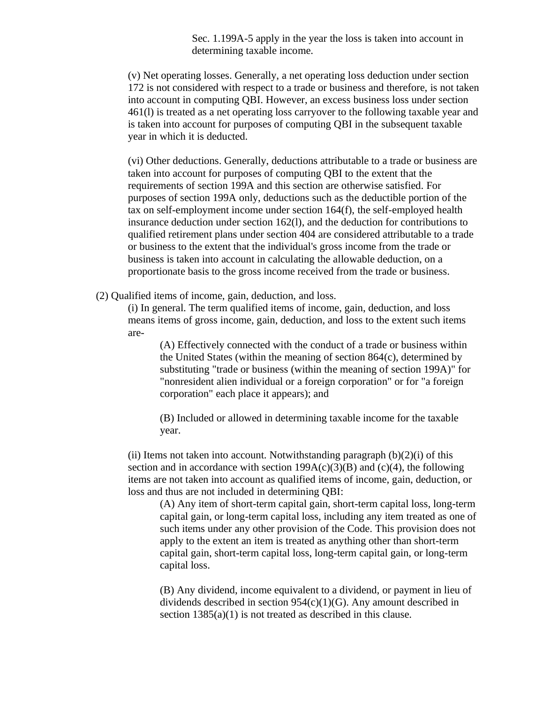Sec. 1.199A-5 apply in the year the loss is taken into account in determining taxable income.

(v) Net operating losses. Generally, a net operating loss deduction under section 172 is not considered with respect to a trade or business and therefore, is not taken into account in computing QBI. However, an excess business loss under section 461(l) is treated as a net operating loss carryover to the following taxable year and is taken into account for purposes of computing QBI in the subsequent taxable year in which it is deducted.

(vi) Other deductions. Generally, deductions attributable to a trade or business are taken into account for purposes of computing QBI to the extent that the requirements of section 199A and this section are otherwise satisfied. For purposes of section 199A only, deductions such as the deductible portion of the tax on self-employment income under section 164(f), the self-employed health insurance deduction under section 162(l), and the deduction for contributions to qualified retirement plans under section 404 are considered attributable to a trade or business to the extent that the individual's gross income from the trade or business is taken into account in calculating the allowable deduction, on a proportionate basis to the gross income received from the trade or business.

(2) Qualified items of income, gain, deduction, and loss.

(i) In general. The term qualified items of income, gain, deduction, and loss means items of gross income, gain, deduction, and loss to the extent such items are-

(A) Effectively connected with the conduct of a trade or business within the United States (within the meaning of section 864(c), determined by substituting "trade or business (within the meaning of section 199A)" for "nonresident alien individual or a foreign corporation" or for "a foreign corporation" each place it appears); and

(B) Included or allowed in determining taxable income for the taxable year.

(ii) Items not taken into account. Notwithstanding paragraph  $(b)(2)(i)$  of this section and in accordance with section  $199A(c)(3)(B)$  and  $(c)(4)$ , the following items are not taken into account as qualified items of income, gain, deduction, or loss and thus are not included in determining QBI:

(A) Any item of short-term capital gain, short-term capital loss, long-term capital gain, or long-term capital loss, including any item treated as one of such items under any other provision of the Code. This provision does not apply to the extent an item is treated as anything other than short-term capital gain, short-term capital loss, long-term capital gain, or long-term capital loss.

(B) Any dividend, income equivalent to a dividend, or payment in lieu of dividends described in section 954(c)(1)(G). Any amount described in section  $1385(a)(1)$  is not treated as described in this clause.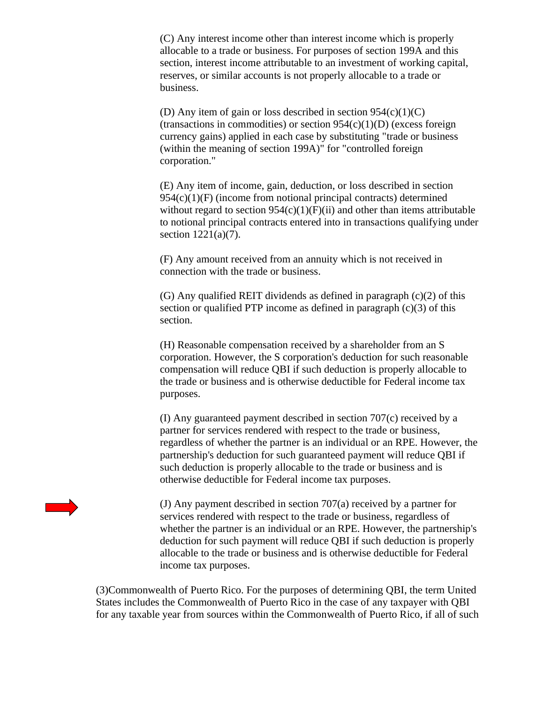(C) Any interest income other than interest income which is properly allocable to a trade or business. For purposes of section 199A and this section, interest income attributable to an investment of working capital, reserves, or similar accounts is not properly allocable to a trade or business.

(D) Any item of gain or loss described in section  $954(c)(1)(C)$ (transactions in commodities) or section  $954(c)(1)(D)$  (excess foreign currency gains) applied in each case by substituting "trade or business (within the meaning of section 199A)" for "controlled foreign corporation."

(E) Any item of income, gain, deduction, or loss described in section  $954(c)(1)(F)$  (income from notional principal contracts) determined without regard to section  $954(c)(1)(F)(ii)$  and other than items attributable to notional principal contracts entered into in transactions qualifying under section 1221(a)(7).

(F) Any amount received from an annuity which is not received in connection with the trade or business.

(G) Any qualified REIT dividends as defined in paragraph (c)(2) of this section or qualified PTP income as defined in paragraph  $(c)(3)$  of this section.

(H) Reasonable compensation received by a shareholder from an S corporation. However, the S corporation's deduction for such reasonable compensation will reduce QBI if such deduction is properly allocable to the trade or business and is otherwise deductible for Federal income tax purposes.

(I) Any guaranteed payment described in section 707(c) received by a partner for services rendered with respect to the trade or business, regardless of whether the partner is an individual or an RPE. However, the partnership's deduction for such guaranteed payment will reduce QBI if such deduction is properly allocable to the trade or business and is otherwise deductible for Federal income tax purposes.

(J) Any payment described in section 707(a) received by a partner for services rendered with respect to the trade or business, regardless of whether the partner is an individual or an RPE. However, the partnership's deduction for such payment will reduce QBI if such deduction is properly allocable to the trade or business and is otherwise deductible for Federal income tax purposes.

(3)Commonwealth of Puerto Rico. For the purposes of determining QBI, the term United States includes the Commonwealth of Puerto Rico in the case of any taxpayer with QBI for any taxable year from sources within the Commonwealth of Puerto Rico, if all of such

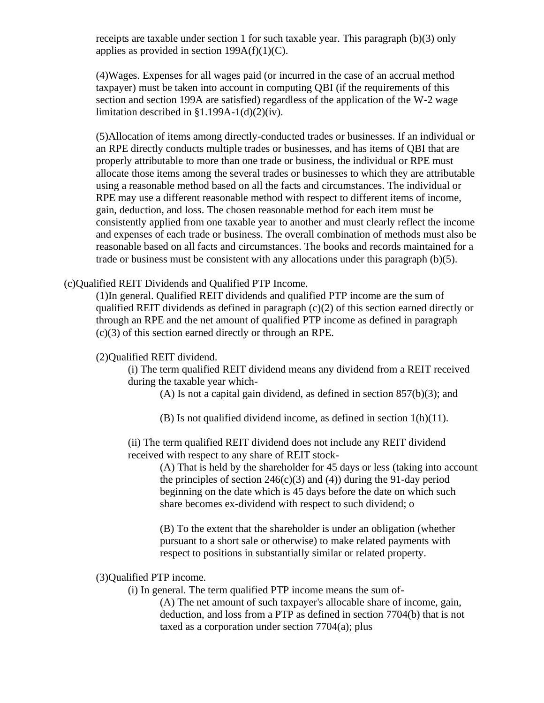receipts are taxable under section 1 for such taxable year. This paragraph (b)(3) only applies as provided in section  $199A(f)(1)(C)$ .

(4)Wages. Expenses for all wages paid (or incurred in the case of an accrual method taxpayer) must be taken into account in computing QBI (if the requirements of this section and section 199A are satisfied) regardless of the application of the W-2 wage limitation described in  $$1.199A-1(d)(2)(iv)$ .

(5)Allocation of items among directly-conducted trades or businesses. If an individual or an RPE directly conducts multiple trades or businesses, and has items of QBI that are properly attributable to more than one trade or business, the individual or RPE must allocate those items among the several trades or businesses to which they are attributable using a reasonable method based on all the facts and circumstances. The individual or RPE may use a different reasonable method with respect to different items of income, gain, deduction, and loss. The chosen reasonable method for each item must be consistently applied from one taxable year to another and must clearly reflect the income and expenses of each trade or business. The overall combination of methods must also be reasonable based on all facts and circumstances. The books and records maintained for a trade or business must be consistent with any allocations under this paragraph (b)(5).

## (c)Qualified REIT Dividends and Qualified PTP Income.

(1)In general. Qualified REIT dividends and qualified PTP income are the sum of qualified REIT dividends as defined in paragraph (c)(2) of this section earned directly or through an RPE and the net amount of qualified PTP income as defined in paragraph (c)(3) of this section earned directly or through an RPE.

# (2)Qualified REIT dividend.

(i) The term qualified REIT dividend means any dividend from a REIT received during the taxable year which-

(A) Is not a capital gain dividend, as defined in section 857(b)(3); and

(B) Is not qualified dividend income, as defined in section 1(h)(11).

(ii) The term qualified REIT dividend does not include any REIT dividend received with respect to any share of REIT stock-

> (A) That is held by the shareholder for 45 days or less (taking into account the principles of section  $246(c)(3)$  and (4)) during the 91-day period beginning on the date which is 45 days before the date on which such share becomes ex-dividend with respect to such dividend; o

(B) To the extent that the shareholder is under an obligation (whether pursuant to a short sale or otherwise) to make related payments with respect to positions in substantially similar or related property.

# (3)Qualified PTP income.

(i) In general. The term qualified PTP income means the sum of-

(A) The net amount of such taxpayer's allocable share of income, gain, deduction, and loss from a PTP as defined in section 7704(b) that is not taxed as a corporation under section 7704(a); plus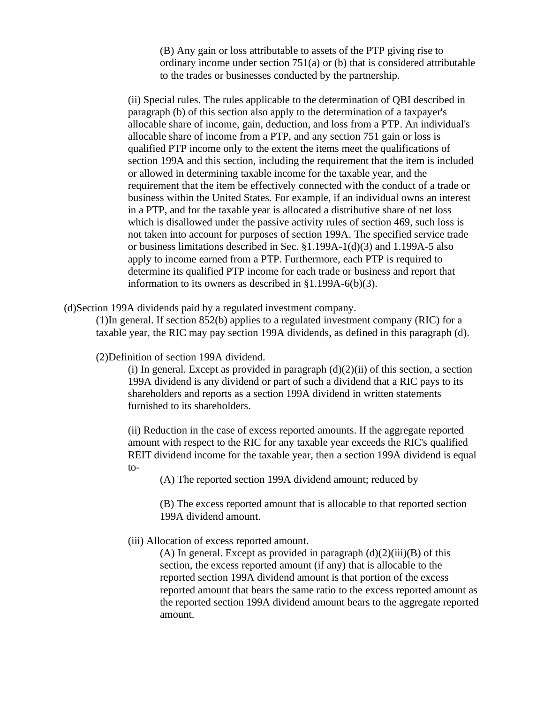(B) Any gain or loss attributable to assets of the PTP giving rise to ordinary income under section 751(a) or (b) that is considered attributable to the trades or businesses conducted by the partnership.

(ii) Special rules. The rules applicable to the determination of QBI described in paragraph (b) of this section also apply to the determination of a taxpayer's allocable share of income, gain, deduction, and loss from a PTP. An individual's allocable share of income from a PTP, and any section 751 gain or loss is qualified PTP income only to the extent the items meet the qualifications of section 199A and this section, including the requirement that the item is included or allowed in determining taxable income for the taxable year, and the requirement that the item be effectively connected with the conduct of a trade or business within the United States. For example, if an individual owns an interest in a PTP, and for the taxable year is allocated a distributive share of net loss which is disallowed under the passive activity rules of section 469, such loss is not taken into account for purposes of section 199A. The specified service trade or business limitations described in Sec. §1.199A-1(d)(3) and 1.199A-5 also apply to income earned from a PTP. Furthermore, each PTP is required to determine its qualified PTP income for each trade or business and report that information to its owners as described in §1.199A-6(b)(3).

(d)Section 199A dividends paid by a regulated investment company.

(1)In general. If section 852(b) applies to a regulated investment company (RIC) for a taxable year, the RIC may pay section 199A dividends, as defined in this paragraph (d).

(2)Definition of section 199A dividend.

(i) In general. Except as provided in paragraph  $(d)(2)(ii)$  of this section, a section 199A dividend is any dividend or part of such a dividend that a RIC pays to its shareholders and reports as a section 199A dividend in written statements furnished to its shareholders.

(ii) Reduction in the case of excess reported amounts. If the aggregate reported amount with respect to the RIC for any taxable year exceeds the RIC's qualified REIT dividend income for the taxable year, then a section 199A dividend is equal to-

(A) The reported section 199A dividend amount; reduced by

(B) The excess reported amount that is allocable to that reported section 199A dividend amount.

(iii) Allocation of excess reported amount.

(A) In general. Except as provided in paragraph  $(d)(2)(iii)(B)$  of this section, the excess reported amount (if any) that is allocable to the reported section 199A dividend amount is that portion of the excess reported amount that bears the same ratio to the excess reported amount as the reported section 199A dividend amount bears to the aggregate reported amount.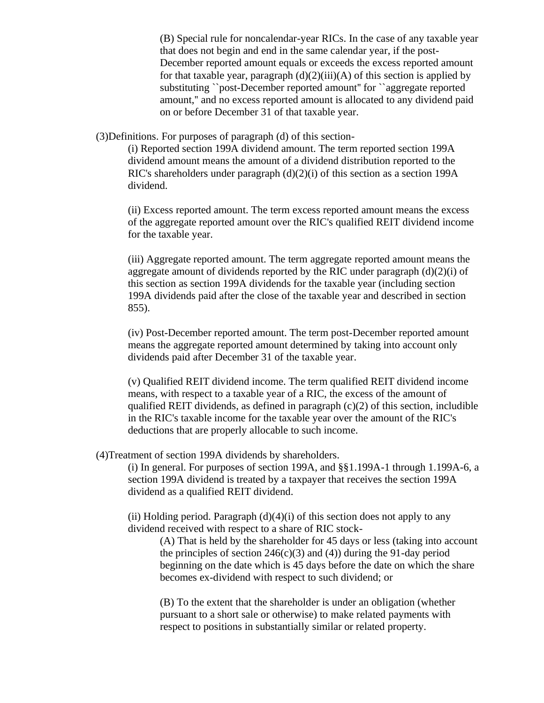(B) Special rule for noncalendar-year RICs. In the case of any taxable year that does not begin and end in the same calendar year, if the post-December reported amount equals or exceeds the excess reported amount for that taxable year, paragraph  $(d)(2)(iii)(A)$  of this section is applied by substituting ``post-December reported amount'' for ``aggregate reported amount,'' and no excess reported amount is allocated to any dividend paid on or before December 31 of that taxable year.

(3)Definitions. For purposes of paragraph (d) of this section-

(i) Reported section 199A dividend amount. The term reported section 199A dividend amount means the amount of a dividend distribution reported to the RIC's shareholders under paragraph (d)(2)(i) of this section as a section 199A dividend.

(ii) Excess reported amount. The term excess reported amount means the excess of the aggregate reported amount over the RIC's qualified REIT dividend income for the taxable year.

(iii) Aggregate reported amount. The term aggregate reported amount means the aggregate amount of dividends reported by the RIC under paragraph (d)(2)(i) of this section as section 199A dividends for the taxable year (including section 199A dividends paid after the close of the taxable year and described in section 855).

(iv) Post-December reported amount. The term post-December reported amount means the aggregate reported amount determined by taking into account only dividends paid after December 31 of the taxable year.

(v) Qualified REIT dividend income. The term qualified REIT dividend income means, with respect to a taxable year of a RIC, the excess of the amount of qualified REIT dividends, as defined in paragraph  $(c)(2)$  of this section, includible in the RIC's taxable income for the taxable year over the amount of the RIC's deductions that are properly allocable to such income.

(4)Treatment of section 199A dividends by shareholders.

(i) In general. For purposes of section 199A, and §§1.199A-1 through 1.199A-6, a section 199A dividend is treated by a taxpayer that receives the section 199A dividend as a qualified REIT dividend.

(ii) Holding period. Paragraph  $(d)(4)(i)$  of this section does not apply to any dividend received with respect to a share of RIC stock-

(A) That is held by the shareholder for 45 days or less (taking into account the principles of section  $246(c)(3)$  and (4)) during the 91-day period beginning on the date which is 45 days before the date on which the share becomes ex-dividend with respect to such dividend; or

(B) To the extent that the shareholder is under an obligation (whether pursuant to a short sale or otherwise) to make related payments with respect to positions in substantially similar or related property.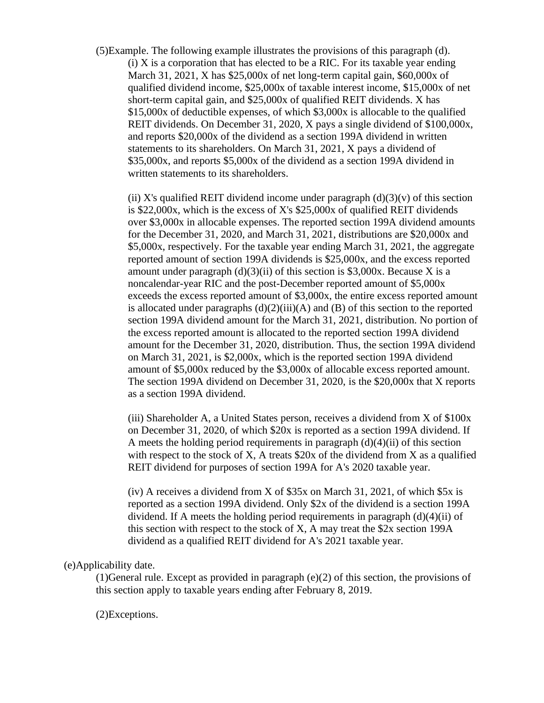(5)Example. The following example illustrates the provisions of this paragraph (d).  $(i)$  X is a corporation that has elected to be a RIC. For its taxable year ending March 31, 2021, X has \$25,000x of net long-term capital gain, \$60,000x of qualified dividend income, \$25,000x of taxable interest income, \$15,000x of net short-term capital gain, and \$25,000x of qualified REIT dividends. X has \$15,000x of deductible expenses, of which \$3,000x is allocable to the qualified REIT dividends. On December 31, 2020, X pays a single dividend of \$100,000x, and reports \$20,000x of the dividend as a section 199A dividend in written statements to its shareholders. On March 31, 2021, X pays a dividend of \$35,000x, and reports \$5,000x of the dividend as a section 199A dividend in written statements to its shareholders.

(ii) X's qualified REIT dividend income under paragraph  $(d)(3)(v)$  of this section is \$22,000x, which is the excess of X's \$25,000x of qualified REIT dividends over \$3,000x in allocable expenses. The reported section 199A dividend amounts for the December 31, 2020, and March 31, 2021, distributions are \$20,000x and \$5,000x, respectively. For the taxable year ending March 31, 2021, the aggregate reported amount of section 199A dividends is \$25,000x, and the excess reported amount under paragraph  $(d)(3)(ii)$  of this section is \$3,000x. Because X is a noncalendar-year RIC and the post-December reported amount of \$5,000x exceeds the excess reported amount of \$3,000x, the entire excess reported amount is allocated under paragraphs  $(d)(2)(iii)(A)$  and  $(B)$  of this section to the reported section 199A dividend amount for the March 31, 2021, distribution. No portion of the excess reported amount is allocated to the reported section 199A dividend amount for the December 31, 2020, distribution. Thus, the section 199A dividend on March 31, 2021, is \$2,000x, which is the reported section 199A dividend amount of \$5,000x reduced by the \$3,000x of allocable excess reported amount. The section 199A dividend on December 31, 2020, is the \$20,000x that X reports as a section 199A dividend.

(iii) Shareholder A, a United States person, receives a dividend from X of \$100x on December 31, 2020, of which \$20x is reported as a section 199A dividend. If A meets the holding period requirements in paragraph  $(d)(4)(ii)$  of this section with respect to the stock of X, A treats  $$20x$  of the dividend from X as a qualified REIT dividend for purposes of section 199A for A's 2020 taxable year.

(iv) A receives a dividend from X of \$35x on March 31, 2021, of which \$5x is reported as a section 199A dividend. Only \$2x of the dividend is a section 199A dividend. If A meets the holding period requirements in paragraph (d)(4)(ii) of this section with respect to the stock of X, A may treat the \$2x section 199A dividend as a qualified REIT dividend for A's 2021 taxable year.

#### (e)Applicability date.

(1)General rule. Except as provided in paragraph (e)(2) of this section, the provisions of this section apply to taxable years ending after February 8, 2019.

#### (2)Exceptions.